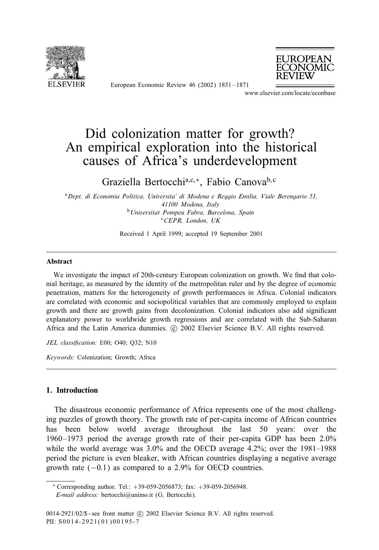

European Economic Review 46 (2002) 1851 – 1871



www.elsevier.com/locate/econbase

# Did colonization matter for growth? An empirical exploration into the historical causes of Africa's underdevelopment

Graziella Bertocchia;c;∗, Fabio Canovab; <sup>c</sup>

<sup>a</sup>*Dept. di Economia Politica, Universita' di Modena e Reggio Emilia, Viale Berengario 51, 41100 Modena, Italy* <sup>b</sup>*Universitat Pompeu Fabra, Barcelona, Spain* <sup>c</sup>*CEPR, London, UK*

Received 1 April 1999; accepted 19 September 2001

#### Abstract

We investigate the impact of 20th-century European colonization on growth. We find that colonial heritage, as measured by the identity of the metropolitan ruler and by the degree of economic penetration, matters for the heterogeneity of growth performances in Africa. Colonial indicators are correlated with economic and sociopolitical variables that are commonly employed to explain growth and there are growth gains from decolonization. Colonial indicators also add significant explanatory power to worldwide growth regressions and are correlated with the Sub-Saharan Africa and the Latin America dummies. © 2002 Elsevier Science B.V. All rights reserved.

*JEL classi)cation:* E00; O40; Q32; N10

*Keywords:* Colonization; Growth; Africa

# 1. Introduction

The disastrous economic performance of Africa represents one of the most challenging puzzles of growth theory. The growth rate of per-capita income of African countries has been below world average throughout the last 50 years: over the 1960 –1973 period the average growth rate of their per-capita GDP has been 2.0% while the world average was  $3.0\%$  and the OECD average  $4.2\%$ ; over the  $1981-1988$ period the picture is even bleaker, with African countries displaying a negative average growth rate  $(-0.1)$  as compared to a 2.9% for OECD countries.

<sup>∗</sup> Corresponding author. Tel.: +39-059-2056873; fax: +39-059-2056948.

*E-mail address:* bertocchi@unimo.it (G. Bertocchi).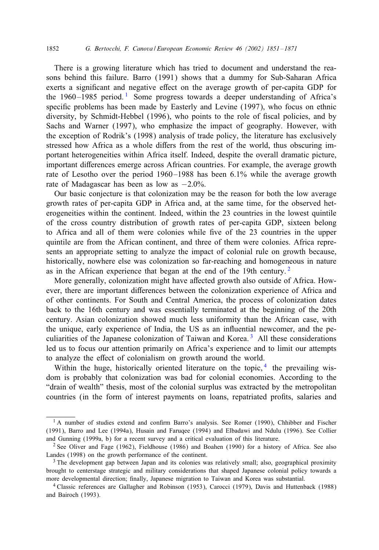#### 1852 *G. Bertocchi, F. Canova / European Economic Review 46 (2002) 1851 – 1871*

There is a growing literature which has tried to document and understand the reasons behind this failure. Barro (1991) shows that a dummy for Sub-Saharan Africa exerts a significant and negative effect on the average growth of per-capita GDP for the  $1960 - 1985$  period.<sup>1</sup> Some progress towards a deeper understanding of Africa's specific problems has been made by Easterly and Levine (1997), who focus on ethnic diversity, by Schmidt-Hebbel (1996), who points to the role of 5scal policies, and by Sachs and Warner (1997), who emphasize the impact of geography. However, with the exception of Rodrik's (1998) analysis of trade policy, the literature has exclusively stressed how Africa as a whole differs from the rest of the world, thus obscuring important heterogeneities within Africa itself. Indeed, despite the overall dramatic picture, important diEerences emerge across African countries. For example, the average growth rate of Lesotho over the period 1960 –1988 has been 6.1% while the average growth rate of Madagascar has been as low as −2:0%.

Our basic conjecture is that colonization may be the reason for both the low average growth rates of per-capita GDP in Africa and, at the same time, for the observed heterogeneities within the continent. Indeed, within the 23 countries in the lowest quintile of the cross country distribution of growth rates of per-capita GDP, sixteen belong to Africa and all of them were colonies while five of the 23 countries in the upper quintile are from the African continent, and three of them were colonies. Africa represents an appropriate setting to analyze the impact of colonial rule on growth because, historically, nowhere else was colonization so far-reaching and homogeneous in nature as in the African experience that began at the end of the 19th century.<sup>2</sup>

More generally, colonization might have affected growth also outside of Africa. However, there are important differences between the colonization experience of Africa and of other continents. For South and Central America, the process of colonization dates back to the 16th century and was essentially terminated at the beginning of the 20th century. Asian colonization showed much less uniformity than the African case, with the unique, early experience of India, the US as an influential newcomer, and the peculiarities of the Japanese colonization of Taiwan and Korea.<sup>3</sup> All these considerations led us to focus our attention primarily on Africa's experience and to limit our attempts to analyze the effect of colonialism on growth around the world.

Within the huge, historically oriented literature on the topic,  $4$  the prevailing wisdom is probably that colonization was bad for colonial economies. According to the "drain of wealth" thesis, most of the colonial surplus was extracted by the metropolitan countries (in the form of interest payments on loans, repatriated profits, salaries and

 $1$  A number of studies extend and confirm Barro's analysis. See Romer (1990), Chhibber and Fischer (1991), Barro and Lee (1994a), Husain and Faruqee (1994) and Elbadawi and Ndulu (1996). See Collier and Gunning (1999a, b) for a recent survey and a critical evaluation of this literature.

<sup>2</sup> See Oliver and Fage (1962), Fieldhouse (1986) and Boahen (1990) for a history of Africa. See also Landes (1998) on the growth performance of the continent.

<sup>&</sup>lt;sup>3</sup> The development gap between Japan and its colonies was relatively small; also, geographical proximity brought to centerstage strategic and military considerations that shaped Japanese colonial policy towards a more developmental direction; finally, Japanese migration to Taiwan and Korea was substantial.

<sup>4</sup> Classic references are Gallagher and Robinson (1953), Carocci (1979), Davis and Huttenback (1988) and Bairoch (1993).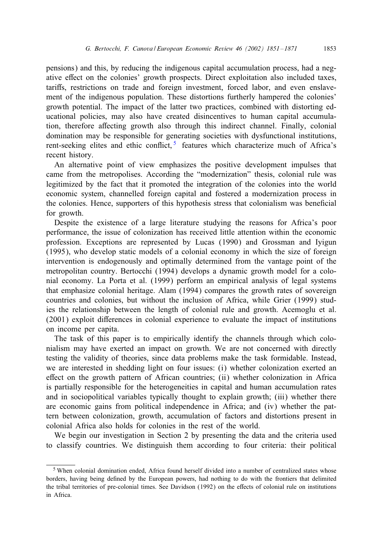pensions) and this, by reducing the indigenous capital accumulation process, had a negative effect on the colonies' growth prospects. Direct exploitation also included taxes, tariffs, restrictions on trade and foreign investment, forced labor, and even enslavement of the indigenous population. These distortions furtherly hampered the colonies' growth potential. The impact of the latter two practices, combined with distorting educational policies, may also have created disincentives to human capital accumulation, therefore affecting growth also through this indirect channel. Finally, colonial domination may be responsible for generating societies with dysfunctional institutions, rent-seeking elites and ethic conflict,  $5$  features which characterize much of Africa's recent history.

An alternative point of view emphasizes the positive development impulses that came from the metropolises. According the "modernization" thesis, colonial rule was legitimized by the fact that it promoted the integration of the colonies into the world economic system, channelled foreign capital and fostered a modernization process in the colonies. Hence, supporters of this hypothesis stress that colonialism was bene5cial for growth.

Despite the existence of a large literature studying the reasons for Africa's poor performance, the issue of colonization has received little attention within the economic profession. Exceptions are represented by Lucas (1990) and Grossman and Iyigun (1995), who develop static models of a colonial economy in which the size of foreign intervention is endogenously and optimally determined from the vantage point of the metropolitan country. Bertocchi (1994) develops a dynamic growth model for a colonial economy. La Porta et al. (1999) perform an empirical analysis of legal systems that emphasize colonial heritage. Alam (1994) compares the growth rates of sovereign countries and colonies, but without the inclusion of Africa, while Grier (1999) studies the relationship between the length of colonial rule and growth. Acemoglu et al. (2001) exploit diEerences in colonial experience to evaluate the impact of institutions on income per capita.

The task of this paper is to empirically identify the channels through which colonialism may have exerted an impact on growth. We are not concerned with directly testing the validity of theories, since data problems make the task formidable. Instead, we are interested in shedding light on four issues: (i) whether colonization exerted an effect on the growth pattern of African countries;  $(ii)$  whether colonization in Africa is partially responsible for the heterogeneities in capital and human accumulation rates and in sociopolitical variables typically thought to explain growth; (iii) whether there are economic gains from political independence in Africa; and (iv) whether the pattern between colonization, growth, accumulation of factors and distortions present in colonial Africa also holds for colonies in the rest of the world.

We begin our investigation in Section 2 by presenting the data and the criteria used to classify countries. We distinguish them according to four criteria: their political

<sup>5</sup> When colonial domination ended, Africa found herself divided into a number of centralized states whose borders, having being defined by the European powers, had nothing to do with the frontiers that delimited the tribal territories of pre-colonial times. See Davidson (1992) on the effects of colonial rule on institutions in Africa.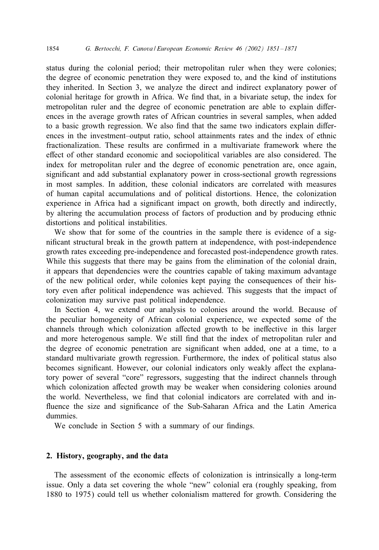status during the colonial period; their metropolitan ruler when they were colonies; the degree of economic penetration they were exposed to, and the kind of institutions they inherited. In Section 3, we analyze the direct and indirect explanatory power of colonial heritage for growth in Africa. We 5nd that, in a bivariate setup, the index for metropolitan ruler and the degree of economic penetration are able to explain differences in the average growth rates of African countries in several samples, when added to a basic growth regression. We also find that the same two indicators explain differences in the investment–output ratio, school attainments rates and the index of ethnic fractionalization. These results are confirmed in a multivariate framework where the effect of other standard economic and sociopolitical variables are also considered. The index for metropolitan ruler and the degree of economic penetration are, once again, significant and add substantial explanatory power in cross-sectional growth regressions in most samples. In addition, these colonial indicators are correlated with measures of human capital accumulations and of political distortions. Hence, the colonization experience in Africa had a significant impact on growth, both directly and indirectly, by altering the accumulation process of factors of production and by producing ethnic distortions and political instabilities.

We show that for some of the countries in the sample there is evidence of a significant structural break in the growth pattern at independence, with post-independence growth rates exceeding pre-independence and forecasted post-independence growth rates. While this suggests that there may be gains from the elimination of the colonial drain, it appears that dependencies were the countries capable of taking maximum advantage of the new political order, while colonies kept paying the consequences of their history even after political independence was achieved. This suggests that the impact of colonization may survive past political independence.

In Section 4, we extend our analysis to colonies around the world. Because of the peculiar homogeneity of African colonial experience, we expected some of the channels through which colonization affected growth to be ineffective in this larger and more heterogenous sample. We still find that the index of metropolitan ruler and the degree of economic penetration are significant when added, one at a time, to a standard multivariate growth regression. Furthermore, the index of political status also becomes significant. However, our colonial indicators only weakly affect the explanatory power of several "core" regressors, suggesting that the indirect channels through which colonization affected growth may be weaker when considering colonies around the world. Nevertheless, we find that colonial indicators are correlated with and influence the size and significance of the Sub-Saharan Africa and the Latin America dummies.

We conclude in Section 5 with a summary of our findings.

# 2. History, geography, and the data

The assessment of the economic effects of colonization is intrinsically a long-term issue. Only a data set covering the whole "new" colonial era (roughly speaking, from 1880 to 1975) could tell us whether colonialism mattered for growth. Considering the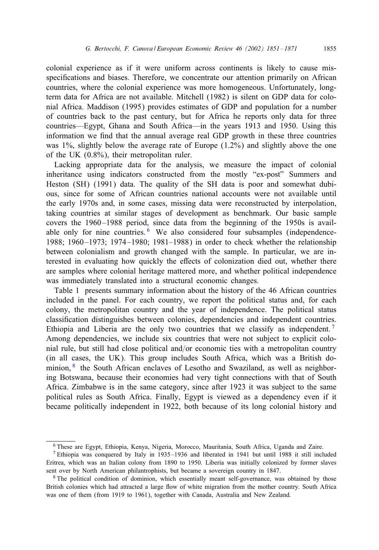colonial experience as if it were uniform across continents is likely to cause misspecifications and biases. Therefore, we concentrate our attention primarily on African countries, where the colonial experience was more homogeneous. Unfortunately, longterm data for Africa are not available. Mitchell (1982) is silent on GDP data for colonial Africa. Maddison (1995) provides estimates of GDP and population for a number of countries back to the past century, but for Africa he reports only data for three countries—Egypt, Ghana and South Africa—in the years 1913 and 1950. Using this information we find that the annual average real GDP growth in these three countries was  $1\%$ , slightly below the average rate of Europe  $(1.2\%)$  and slightly above the one of the UK (0.8%), their metropolitan ruler.

Lacking appropriate data for the analysis, we measure the impact of colonial inheritance using indicators constructed from the mostly "ex-post" Summers and Heston (SH) (1991) data. The quality of the SH data is poor and somewhat dubious, since for some of African countries national accounts were not available until the early 1970s and, in some cases, missing data were reconstructed by interpolation, taking countries at similar stages of development as benchmark. Our basic sample covers the 1960 –1988 period, since data from the beginning of the 1950s is available only for nine countries. <sup>6</sup> We also considered four subsamples (independence-1988; 1960 –1973; 1974 –1980; 1981–1988) in order to check whether the relationship between colonialism and growth changed with the sample. In particular, we are interested in evaluating how quickly the effects of colonization died out, whether there are samples where colonial heritage mattered more, and whether political independence was immediately translated into a structural economic changes.

Table 1 presents summary information about the history of the 46 African countries included in the panel. For each country, we report the political status and, for each colony, the metropolitan country and the year of independence. The political status classification distinguishes between colonies, dependencies and independent countries. Ethiopia and Liberia are the only two countries that we classify as independent.<sup>7</sup> Among dependencies, we include six countries that were not subject to explicit colonial rule, but still had close political and/or economic ties with a metropolitan country (in all cases, the UK). This group includes South Africa, which was a British dominion, <sup>8</sup> the South African enclaves of Lesotho and Swaziland, as well as neighboring Botswana, because their economies had very tight connections with that of South Africa. Zimbabwe is in the same category, since after 1923 it was subject to the same political rules as South Africa. Finally, Egypt is viewed as a dependency even if it became politically independent in 1922, both because of its long colonial history and

<sup>6</sup> These are Egypt, Ethiopia, Kenya, Nigeria, Morocco, Mauritania, South Africa, Uganda and Zaire.

<sup>7</sup> Ethiopia was conquered by Italy in 1935 –1936 and liberated in 1941 but until 1988 it still included Eritrea, which was an Italian colony from 1890 to 1950. Liberia was initially colonized by former slaves sent over by North American philantrophists, but became a sovereign country in 1847.

<sup>&</sup>lt;sup>8</sup> The political condition of dominion, which essentially meant self-governance, was obtained by those British colonies which had attracted a large flow of white migration from the mother country. South Africa was one of them (from 1919 to 1961), together with Canada, Australia and New Zealand.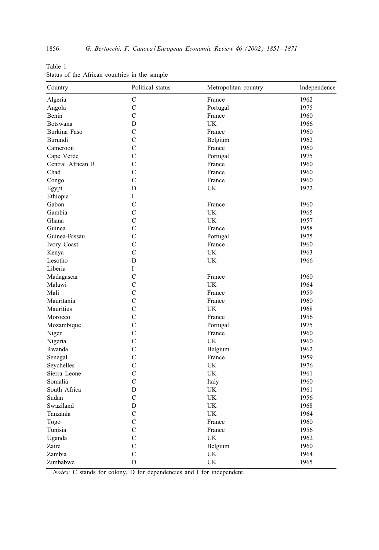| Country            | Political status | Metropolitan country | Independence |  |
|--------------------|------------------|----------------------|--------------|--|
| Algeria            | C                | France               | 1962         |  |
| Angola             | $\mathcal{C}$    | Portugal             | 1975         |  |
| Benin              | $\mathcal{C}$    | France               | 1960         |  |
| Botswana           | D                | UK                   | 1966         |  |
| Burkina Faso       | $\mathcal{C}$    | France               | 1960         |  |
| Burundi            | $\mathbf C$      | Belgium              | 1962         |  |
| Cameroon           | C                | France               | 1960         |  |
| Cape Verde         | $\mathcal{C}$    | Portugal             | 1975         |  |
| Central African R. | $\mathcal{C}$    | France               | 1960         |  |
| Chad               | $\mathcal{C}$    | France               | 1960         |  |
| Congo              | C                | France               | 1960         |  |
| Egypt              | D                | UK                   | 1922         |  |
| Ethiopia           | $\mathbf I$      |                      |              |  |
| Gabon              | $\mathbf C$      | France               | 1960         |  |
| Gambia             | $\mathcal{C}$    | UK                   | 1965         |  |
| Ghana              | $\mathcal{C}$    | UK                   | 1957         |  |
| Guinea             | $\mathbf C$      | France               | 1958         |  |
| Guinea-Bissau      | C                | Portugal             | 1975         |  |
| Ivory Coast        | $\mathcal{C}$    | France               | 1960         |  |
| Kenya              | C                | UK                   | 1963         |  |
| Lesotho            | D                | UK                   | 1966         |  |
| Liberia            | Ι                |                      |              |  |
| Madagascar         | $\mathcal{C}$    | France               | 1960         |  |
| Malawi             | $\mathcal{C}$    | UK                   | 1964         |  |
| Mali               | $\mathcal{C}$    | France               | 1959         |  |
| Mauritania         | $\mathcal{C}$    | France               | 1960         |  |
| Mauritius          | $\mathcal{C}$    | UK                   | 1968         |  |
| Morocco            | $\mathcal{C}$    | France               | 1956         |  |
| Mozambique         | $\mathcal{C}$    | Portugal             | 1975         |  |
| Niger              | C                | France               | 1960         |  |
| Nigeria            | $\mathcal{C}$    | UK                   | 1960         |  |
| Rwanda             | $\mathcal{C}$    | Belgium              | 1962         |  |
| Senegal            | $\overline{C}$   | France               | 1959         |  |
| Seychelles         | C                | UK                   | 1976         |  |
| Sierra Leone       | $\overline{C}$   | <b>UK</b>            | 1961         |  |
| Somalia            | $\mathcal{C}$    | Italy                | 1960         |  |
| South Africa       | D                | UK                   | 1961         |  |
| Sudan              | $\mathcal{C}$    | UK                   | 1956         |  |
| Swaziland          | D                | UK                   | 1968         |  |
| Tanzania           | $\mathbf C$      | UK                   | 1964         |  |
| Togo               | C                | France               | 1960         |  |
| Tunisia            | $\mathcal{C}$    | France               | 1956         |  |
| Uganda             | $\mathcal{C}$    | UK                   | 1962         |  |
| Zaire              | $\mathcal{C}$    | Belgium              | 1960         |  |
| Zambia             | $\mathcal{C}$    | UK                   | 1964         |  |
| Zimbabwe           | D                | UK                   | 1965         |  |

Table 1 Status of the African countries in the sample

*Notes*: C stands for colony, D for dependencies and I for independent.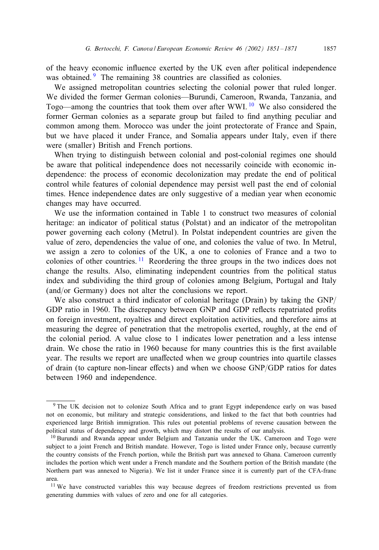of the heavy economic influence exerted by the UK even after political independence was obtained.<sup>9</sup> The remaining 38 countries are classified as colonies.

We assigned metropolitan countries selecting the colonial power that ruled longer. We divided the former German colonies—Burundi, Cameroon, Rwanda, Tanzania, and Togo—among the countries that took them over after WWI.<sup>10</sup> We also considered the former German colonies as a separate group but failed to 5nd anything peculiar and common among them. Morocco was under the joint protectorate of France and Spain, but we have placed it under France, and Somalia appears under Italy, even if there were (smaller) British and French portions.

When trying to distinguish between colonial and post-colonial regimes one should be aware that political independence does not necessarily coincide with economic independence: the process of economic decolonization may predate the end of political control while features of colonial dependence may persist well past the end of colonial times. Hence independence dates are only suggestive of a median year when economic changes may have occurred.

We use the information contained in Table 1 to construct two measures of colonial heritage: an indicator of political status (Polstat) and an indicator of the metropolitan power governing each colony (Metrul). In Polstat independent countries are given the value of zero, dependencies the value of one, and colonies the value of two. In Metrul, we assign a zero to colonies of the UK, a one to colonies of France and a two to colonies of other countries.  $\frac{11}{11}$  Reordering the three groups in the two indices does not change the results. Also, eliminating independent countries from the political status index and subdividing the third group of colonies among Belgium, Portugal and Italy  $(and/or Germany)$  does not alter the conclusions we report.

We also construct a third indicator of colonial heritage (Drain) by taking the  $GNP/$ GDP ratio in 1960. The discrepancy between GNP and GDP reflects repatriated profits on foreign investment, royalties and direct exploitation activities, and therefore aims at measuring the degree of penetration that the metropolis exerted, roughly, at the end of the colonial period. A value close to 1 indicates lower penetration and a less intense drain. We chose the ratio in 1960 because for many countries this is the first available year. The results we report are unaffected when we group countries into quartile classes of drain (to capture non-linear effects) and when we choose GNP/GDP ratios for dates between 1960 and independence.

<sup>&</sup>lt;sup>9</sup> The UK decision not to colonize South Africa and to grant Egypt independence early on was based not on economic, but military and strategic considerations, and linked to the fact that both countries had experienced large British immigration. This rules out potential problems of reverse causation between the political status of dependency and growth, which may distort the results of our analysis.

<sup>10</sup> Burundi and Rwanda appear under Belgium and Tanzania under the UK. Cameroon and Togo were subject to a joint French and British mandate. However, Togo is listed under France only, because currently the country consists of the French portion, while the British part was annexed to Ghana. Cameroon currently includes the portion which went under a French mandate and the Southern portion of the British mandate (the Northern part was annexed to Nigeria). We list it under France since it is currently part of the CFA-franc area.

<sup>&</sup>lt;sup>11</sup> We have constructed variables this way because degrees of freedom restrictions prevented us from generating dummies with values of zero and one for all categories.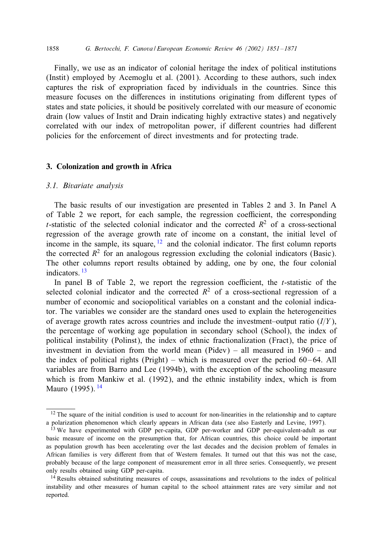1858 *G. Bertocchi, F. Canova / European Economic Review 46 (2002) 1851 – 1871*

Finally, we use as an indicator of colonial heritage the index of political institutions (Instit) employed by Acemoglu et al. (2001). According to these authors, such index captures the risk of expropriation faced by individuals in the countries. Since this measure focuses on the differences in institutions originating from different types of states and state policies, it should be positively correlated with our measure of economic drain (low values of Instit and Drain indicating highly extractive states) and negatively correlated with our index of metropolitan power, if different countries had different policies for the enforcement of direct investments and for protecting trade.

#### 3. Colonization and growth in Africa

## *3.1. Bivariate analysis*

The basic results of our investigation are presented in Tables 2 and 3. In Panel A of Table 2 we report, for each sample, the regression coefficient, the corresponding t-statistic of the selected colonial indicator and the corrected  $R^2$  of a cross-sectional regression of the average growth rate of income on a constant, the initial level of income in the sample, its square,  $\frac{12}{2}$  and the colonial indicator. The first column reports the corrected  $R^2$  for an analogous regression excluding the colonial indicators (Basic). The other columns report results obtained by adding, one by one, the four colonial indicators. <sup>13</sup>

In panel B of Table 2, we report the regression coefficient, the  $t$ -statistic of the selected colonial indicator and the corrected  $R^2$  of a cross-sectional regression of a number of economic and sociopolitical variables on a constant and the colonial indicator. The variables we consider are the standard ones used to explain the heterogeneities of average growth rates across countries and include the investment–output ratio  $(I/Y)$ , the percentage of working age population in secondary school (School), the index of political instability (Polinst), the index of ethnic fractionalization (Fract), the price of investment in deviation from the world mean (Pidev) – all measured in 1960 – and the index of political rights (Pright) – which is measured over the period  $60 - 64$ . All variables are from Barro and Lee (1994b), with the exception of the schooling measure which is from Mankiw et al. (1992), and the ethnic instability index, which is from Mauro (1995).<sup>14</sup>

<sup>&</sup>lt;sup>12</sup> The square of the initial condition is used to account for non-linearities in the relationship and to capture a polarization phenomenon which clearly appears in African data (see also Easterly and Levine, 1997).

<sup>&</sup>lt;sup>13</sup> We have experimented with GDP per-capita, GDP per-worker and GDP per-equivalent-adult as our basic measure of income on the presumption that, for African countries, this choice could be important as population growth has been accelerating over the last decades and the decision problem of females in African families is very diEerent from that of Western females. It turned out that this was not the case, probably because of the large component of measurement error in all three series. Consequently, we present only results obtained using GDP per-capita.

<sup>&</sup>lt;sup>14</sup> Results obtained substituting measures of coups, assassinations and revolutions to the index of political instability and other measures of human capital to the school attainment rates are very similar and not reported.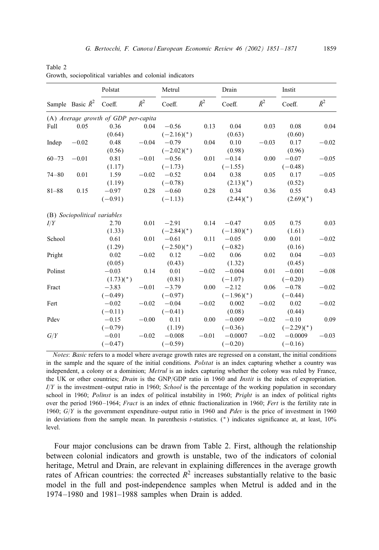|           |                              | Polstat                              |             | Metrul          |             | Drain                    |             | Instit       |             |
|-----------|------------------------------|--------------------------------------|-------------|-----------------|-------------|--------------------------|-------------|--------------|-------------|
|           | Sample Basic $\bar{R}^2$     | Coeff.                               | $\bar{R}^2$ | Coeff.          | $\bar{R}^2$ | Coeff.                   | $\bar{R}^2$ | Coeff.       | $\bar{R}^2$ |
|           |                              | (A) Average growth of GDP per-capita |             |                 |             |                          |             |              |             |
| Full      | 0.05                         | 0.36                                 | 0.04        | $-0.56$         | 0.13        | 0.04                     | 0.03        | 0.08         | 0.04        |
|           |                              | (0.64)                               |             | $(-2.16)(*)$    |             | (0.63)                   |             | (0.60)       |             |
| Indep     | $-0.02$                      | 0.48                                 | $-0.04$     | $-0.79$         | 0.04        | 0.10                     | $-0.03$     | 0.17         | $-0.02$     |
|           |                              | (0.56)                               |             | $(-2.02)(*)$    |             | (0.98)                   |             | (0.96)       |             |
| $60 - 73$ | $-0.01$                      | 0.81                                 | $-0.01$     | $-0.56$         | 0.01        | $-0.14$                  | 0.00        | $-0.07$      | $-0.05$     |
|           |                              | (1.17)                               |             | $(-1.73)$       |             | $(-1.55)$                |             | $(-0.48)$    |             |
| $74 - 80$ | 0.01                         | 1.59                                 | $-0.02$     | $-0.52$         | 0.04        | 0.38                     | 0.05        | 0.17         | $-0.05$     |
|           |                              | (1.19)                               |             | $(-0.78)$       |             | $(2.13)(*)$              |             | (0.52)       |             |
| $81 - 88$ | 0.15                         | $-0.97$                              | 0.28        | $-0.60$         | 0.28        | 0.34                     | 0.36        | 0.55         | 0.43        |
|           |                              | $(-0.91)$                            |             | $(-1.13)$       |             | $(2.44)(*)$              |             | $(2.69)(*)$  |             |
|           | (B) Sociopolitical variables |                                      |             |                 |             |                          |             |              |             |
| I/Y       |                              | 2.70                                 | 0.01        | $-2.91$         | 0.14        | $-0.47$                  | 0.05        | 0.75         | 0.03        |
|           |                              | (1.33)                               |             | $(-2.84)(*)$    |             | $(-1.80)$ <sup>*</sup> ) |             | (1.61)       |             |
| School    |                              | 0.61                                 | 0.01        | $-0.61$         | 0.11        | $-0.05$                  | 0.00        | 0.01         | $-0.02$     |
|           |                              | (1.29)                               |             | $(-2.50)^{*}$ ) |             | $(-0.82)$                |             | (0.16)       |             |
| Pright    |                              | 0.02                                 | $-0.02$     | 0.12            | $-0.02$     | 0.06                     | 0.02        | 0.04         | $-0.03$     |
|           |                              | (0.05)                               |             | (0.43)          |             | (1.32)                   |             | (0.45)       |             |
| Polinst   |                              | $-0.03$                              | 0.14        | 0.01            | $-0.02$     | $-0.004$                 | 0.01        | $-0.001$     | $-0.08$     |
|           |                              | $(1.73)(*)$                          |             | (0.81)          |             | $(-1.07)$                |             | $(-0.20)$    |             |
| Fract     |                              | $-3.83$                              | $-0.01$     | $-3.79$         | 0.00        | $-2.12$                  | 0.06        | $-0.78$      | $-0.02$     |
|           |                              | $(-0.49)$                            |             | $(-0.97)$       |             | $(-1.96)$ <sup>*</sup> ) |             | $(-0.44)$    |             |
| Fert      |                              | $-0.02$                              | $-0.02$     | $-0.04$         | $-0.02$     | 0.002                    | $-0.02$     | 0.02         | $-0.02$     |
|           |                              | $(-0.11)$                            |             | $(-0.41)$       |             | (0.08)                   |             | (0.44)       |             |
| Pdev      |                              | $-0.15$                              | $-0.00$     | 0.11            | 0.00        | $-0.009$                 | $-0.02$     | $-0.10$      | 0.09        |
|           |                              | $(-0.79)$                            |             | (1.19)          |             | $(-0.36)$                |             | $(-2.29)(*)$ |             |
| G/Y       |                              | $-0.01$                              | $-0.02$     | $-0.008$        | $-0.01$     | $-0.0007$                | $-0.02$     | $-0.0009$    | $-0.03$     |
|           |                              | $(-0.47)$                            |             | $(-0.59)$       |             | $(-0.20)$                |             | $(-0.16)$    |             |

Table 2 Growth, sociopolitical variables and colonial indicators

*Notes*: *Basic* refers to a model where average growth rates are regressed on a constant, the initial conditions in the sample and the square of the initial conditions. *Polstat* is an index capturing whether a country was independent, a colony or a dominion; *Metrul* is an index capturing whether the colony was ruled by France, the UK or other countries; *Drain* is the GNP/GDP ratio in 1960 and *Instit* is the index of expropriation.  $I/Y$  is the investment–output ratio in 1960; *School* is the percentage of the working population in secondary school in 1960; *Polinst* is an index of political instability in 1960; *Pright* is an index of political rights over the period 1960 –1964; Fract is an index of ethnic fractionalization in 1960; *Fert* is the fertility rate in 1960; G/Y is the government expenditure–output ratio in 1960 and *Pdev* is the price of investment in 1960 in deviations from the sample mean. In parenthesis t-statistics.  $(*)$  indicates significance at, at least,  $10\%$ level.

Four major conclusions can be drawn from Table 2. First, although the relationship between colonial indicators and growth is unstable, two of the indicators of colonial heritage, Metrul and Drain, are relevant in explaining differences in the average growth rates of African countries: the corrected  $R^2$  increases substantially relative to the basic model in the full and post-independence samples when Metrul is added and in the 1974 –1980 and 1981–1988 samples when Drain is added.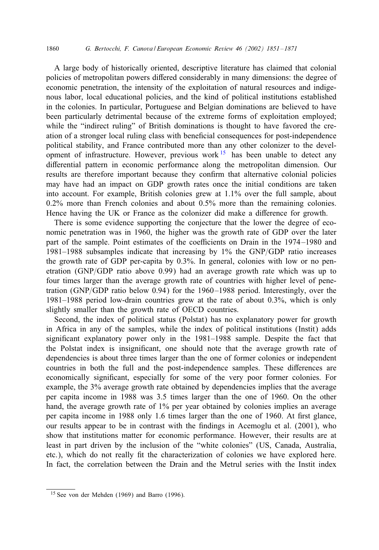#### 1860 *G. Bertocchi, F. Canova / European Economic Review 46 (2002) 1851 – 1871*

A large body of historically oriented, descriptive literature has claimed that colonial policies of metropolitan powers diEered considerably in many dimensions: the degree of economic penetration, the intensity of the exploitation of natural resources and indigenous labor, local educational policies, and the kind of political institutions established in the colonies. In particular, Portuguese and Belgian dominations are believed to have been particularly detrimental because of the extreme forms of exploitation employed; while the "indirect ruling" of British dominations is thought to have favored the creation of a stronger local ruling class with bene5cial consequences for post-independence political stability, and France contributed more than any other colonizer to the development of infrastructure. However, previous work  $15$  has been unable to detect any differential pattern in economic performance along the metropolitan dimension. Our results are therefore important because they confirm that alternative colonial policies may have had an impact on GDP growth rates once the initial conditions are taken into account. For example, British colonies grew at 1.1% over the full sample, about 0.2% more than French colonies and about 0.5% more than the remaining colonies. Hence having the UK or France as the colonizer did make a difference for growth.

There is some evidence supporting the conjecture that the lower the degree of economic penetration was in 1960, the higher was the growth rate of GDP over the later part of the sample. Point estimates of the coefficients on Drain in the 1974–1980 and 1981–1988 subsamples indicate that increasing by  $1\%$  the GNP/GDP ratio increases the growth rate of GDP per-capita by 0.3%. In general, colonies with low or no penetration (GNP/GDP ratio above  $0.99$ ) had an average growth rate which was up to four times larger than the average growth rate of countries with higher level of penetration (GNP/GDP ratio below 0.94) for the  $1960 - 1988$  period. Interestingly, over the 1981–1988 period low-drain countries grew at the rate of about 0.3%, which is only slightly smaller than the growth rate of OECD countries.

Second, the index of political status (Polstat) has no explanatory power for growth in Africa in any of the samples, while the index of political institutions (Instit) adds significant explanatory power only in the 1981–1988 sample. Despite the fact that the Polstat index is insignificant, one should note that the average growth rate of dependencies is about three times larger than the one of former colonies or independent countries in both the full and the post-independence samples. These differences are economically significant, especially for some of the very poor former colonies. For example, the 3% average growth rate obtained by dependencies implies that the average per capita income in 1988 was 3.5 times larger than the one of 1960. On the other hand, the average growth rate of 1% per year obtained by colonies implies an average per capita income in 1988 only 1.6 times larger than the one of 1960. At first glance, our results appear to be in contrast with the findings in Acemoglu et al. (2001), who show that institutions matter for economic performance. However, their results are at least in part driven by the inclusion of the "white colonies" (US, Canada, Australia, etc.), which do not really fit the characterization of colonies we have explored here. In fact, the correlation between the Drain and the Metrul series with the Instit index

<sup>15</sup> See von der Mehden (1969) and Barro (1996).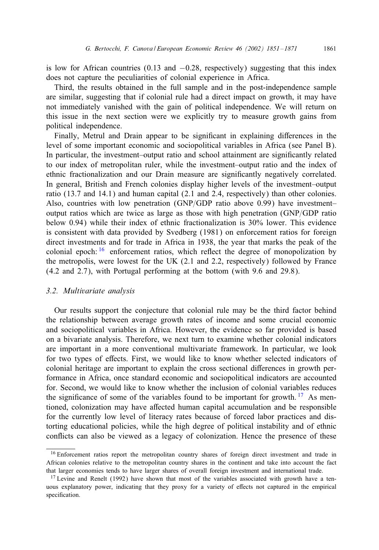is low for African countries  $(0.13 \text{ and } -0.28)$ , respectively) suggesting that this index does not capture the peculiarities of colonial experience in Africa.

Third, the results obtained in the full sample and in the post-independence sample are similar, suggesting that if colonial rule had a direct impact on growth, it may have not immediately vanished with the gain of political independence. We will return on this issue in the next section were we explicitly try to measure growth gains from political independence.

Finally, Metrul and Drain appear to be significant in explaining differences in the level of some important economic and sociopolitical variables in Africa (see Panel B). In particular, the investment–output ratio and school attainment are significantly related to our index of metropolitan ruler, while the investment–output ratio and the index of ethnic fractionalization and our Drain measure are significantly negatively correlated. In general, British and French colonies display higher levels of the investment–output ratio (13.7 and 14.1) and human capital (2.1 and 2.4, respectively) than other colonies. Also, countries with low penetration (GNP/GDP ratio above 0.99) have investment– output ratios which are twice as large as those with high penetration (GNP/GDP ratio below 0.94) while their index of ethnic fractionalization is 30% lower. This evidence is consistent with data provided by Svedberg (1981) on enforcement ratios for foreign direct investments and for trade in Africa in 1938, the year that marks the peak of the colonial epoch:  $16$  enforcement ratios, which reflect the degree of monopolization by the metropolis, were lowest for the UK (2.1 and 2.2, respectively) followed by France (4.2 and 2.7), with Portugal performing at the bottom (with 9.6 and 29.8).

## *3.2. Multivariate analysis*

Our results support the conjecture that colonial rule may be the third factor behind the relationship between average growth rates of income and some crucial economic and sociopolitical variables in Africa. However, the evidence so far provided is based on a bivariate analysis. Therefore, we next turn to examine whether colonial indicators are important in a more conventional multivariate framework. In particular, we look for two types of effects. First, we would like to know whether selected indicators of colonial heritage are important to explain the cross sectional differences in growth performance in Africa, once standard economic and sociopolitical indicators are accounted for. Second, we would like to know whether the inclusion of colonial variables reduces the significance of some of the variables found to be important for growth. <sup>17</sup> As mentioned, colonization may have affected human capital accumulation and be responsible for the currently low level of literacy rates because of forced labor practices and distorting educational policies, while the high degree of political instability and of ethnic conflicts can also be viewed as a legacy of colonization. Hence the presence of these

<sup>&</sup>lt;sup>16</sup> Enforcement ratios report the metropolitan country shares of foreign direct investment and trade in African colonies relative to the metropolitan country shares in the continent and take into account the fact that larger economies tends to have larger shares of overall foreign investment and international trade.

<sup>&</sup>lt;sup>17</sup> Levine and Renelt (1992) have shown that most of the variables associated with growth have a tenuous explanatory power, indicating that they proxy for a variety of eEects not captured in the empirical specification.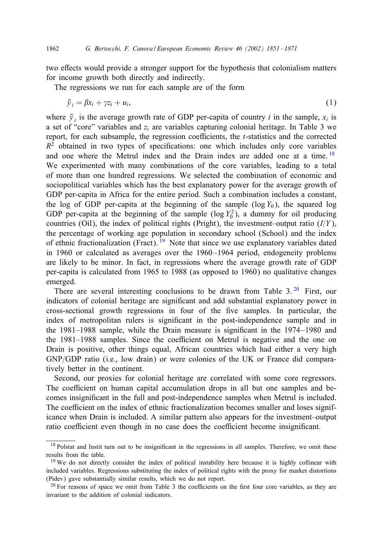two effects would provide a stronger support for the hypothesis that colonialism matters for income growth both directly and indirectly.

The regressions we run for each sample are of the form

$$
\bar{y}_i = \beta x_i + \gamma z_i + u_i,\tag{1}
$$

where  $\bar{v}_i$  is the average growth rate of GDP per-capita of country i in the sample,  $x_i$  is a set of "core" variables and  $z_i$  are variables capturing colonial heritage. In Table 3 we report, for each subsample, the regression coefficients, the  $t$ -statistics and the corrected  $R<sup>2</sup>$  obtained in two types of specifications: one which includes only core variables and one where the Metrul index and the Drain index are added one at a time.<sup>18</sup> We experimented with many combinations of the core variables, leading to a total of more than one hundred regressions. We selected the combination of economic and sociopolitical variables which has the best explanatory power for the average growth of GDP per-capita in Africa for the entire period. Such a combination includes a constant, the log of GDP per-capita at the beginning of the sample ( $log Y_0$ ), the squared log GDP per-capita at the beginning of the sample ( $log Y_0^2$ ), a dummy for oil producing countries (Oil), the index of political rights (Pright), the investment–output ratio  $(I/Y)$ , the percentage of working age population in secondary school (School) and the index of ethnic fractionalization (Fract). <sup>19</sup> Note that since we use explanatory variables dated in 1960 or calculated as averages over the 1960 –1964 period, endogeneity problems are likely to be minor. In fact, in regressions where the average growth rate of GDP per-capita is calculated from 1965 to 1988 (as opposed to 1960) no qualitative changes emerged.

There are several interesting conclusions to be drawn from Table  $3.20$  First, our indicators of colonial heritage are significant and add substantial explanatory power in cross-sectional growth regressions in four of the 5ve samples. In particular, the index of metropolitan rulers is significant in the post-independence sample and in the 1981–1988 sample, while the Drain measure is significant in the 1974–1980 and the 1981–1988 samples. Since the coefficient on Metrul is negative and the one on Drain is positive, other things equal, African countries which had either a very high GNP/GDP ratio (i.e., low drain) or were colonies of the UK or France did comparatively better in the continent.

Second, our proxies for colonial heritage are correlated with some core regressors. The coefficient on human capital accumulation drops in all but one samples and becomes insignificant in the full and post-independence samples when Metrul is included. The coefficient on the index of ethnic fractionalization becomes smaller and loses significance when Drain is included. A similar pattern also appears for the investment–output ratio coefficient even though in no case does the coefficient become insignificant.

<sup>&</sup>lt;sup>18</sup> Polstat and Instit turn out to be insignificant in the regressions in all samples. Therefore, we omit these results from the table.

<sup>&</sup>lt;sup>19</sup> We do not directly consider the index of political instability here because it is highly collinear with included variables. Regressions substituting the index of political rights with the proxy for market distortions (Pidev) gave substantially similar results, which we do not report.

 $20$  For reasons of space we omit from Table 3 the coefficients on the first four core variables, as they are invariant to the addition of colonial indicators.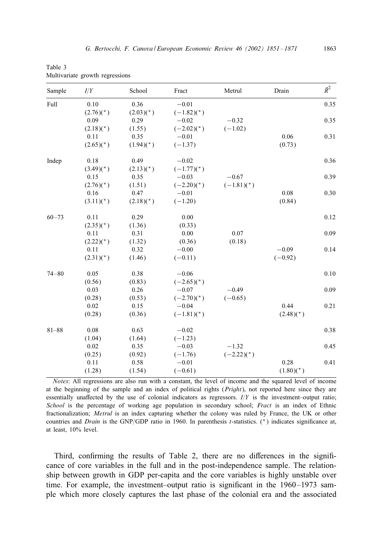| Table 3                         |  |
|---------------------------------|--|
| Multivariate growth regressions |  |

| Sample    | I/Y         | School      | Fract                    | Metrul       | Drain       | $\bar{R}^2$ |
|-----------|-------------|-------------|--------------------------|--------------|-------------|-------------|
| Full      | 0.10        | 0.36        | $-0.01$                  |              |             | 0.35        |
|           | $(2.76)(*)$ | $(2.03)(*)$ | $(-1.82)(*)$             |              |             |             |
|           | 0.09        | 0.29        | $-0.02$                  | $-0.32$      |             | 0.35        |
|           | $(2.18)(*)$ | (1.55)      | $(-2.02)(*)$             | $(-1.02)$    |             |             |
|           | 0.11        | 0.35        | $-0.01$                  |              | 0.06        | 0.31        |
|           | $(2.65)(*)$ | $(1.94)(*)$ | $(-1.37)$                |              | (0.73)      |             |
| Indep     | 0.18        | 0.49        | $-0.02$                  |              |             | 0.36        |
|           | $(3.49)(*)$ | $(2.13)(*)$ | $(-1.77)(*)$             |              |             |             |
|           | 0.15        | 0.35        | $-0.03$                  | $-0.67$      |             | 0.39        |
|           | $(2.76)(*)$ | (1.51)      | $(-2.20)$ <sup>*</sup> ) | $(-1.81)(*)$ |             |             |
|           | 0.16        | 0.47        | $-0.01$                  |              | 0.08        | 0.30        |
|           | $(3.11)(*)$ | $(2.18)(*)$ | $(-1.20)$                |              | (0.84)      |             |
| $60 - 73$ | 0.11        | 0.29        | 0.00                     |              |             | 0.12        |
|           | $(2.35)(*)$ | (1.36)      | (0.33)                   |              |             |             |
|           | 0.11        | 0.31        | 0.00                     | 0.07         |             | 0.09        |
|           | $(2.22)(*)$ | (1.32)      | (0.36)                   | (0.18)       |             |             |
|           | 0.11        | 0.32        | $-0.00$                  |              | $-0.09$     | 0.14        |
|           | $(2.31)(*)$ | (1.46)      | $(-0.11)$                |              | $(-0.92)$   |             |
| $74 - 80$ | 0.05        | 0.38        | $-0.06$                  |              |             | 0.10        |
|           | (0.56)      | (0.83)      | $(-2.65)$ <sup>*</sup> ) |              |             |             |
|           | 0.03        | 0.26        | $-0.07$                  | $-0.49$      |             | 0.09        |
|           | (0.28)      | (0.53)      | $(-2.70)(*)$             | $(-0.65)$    |             |             |
|           | 0.02        | 0.15        | $-0.04$                  |              | 0.44        | 0.21        |
|           | (0.28)      | (0.36)      | $(-1.81)(*)$             |              | $(2.48)(*)$ |             |
| $81 - 88$ | 0.08        | 0.63        | $-0.02$                  |              |             | 0.38        |
|           | (1.04)      | (1.64)      | $(-1.23)$                |              |             |             |
|           | 0.02        | 0.35        | $-0.03$                  | $-1.32$      |             | 0.45        |
|           | (0.25)      | (0.92)      | $(-1.76)$                | $(-2.22)(*)$ |             |             |
|           | 0.11        | 0.58        | $-0.01$                  |              | 0.28        | 0.41        |
|           | (1.28)      | (1.54)      | $(-0.61)$                |              | $(1.80)(*)$ |             |

*Notes*: All regressions are also run with a constant, the level of income and the squared level of income at the beginning of the sample and an index of political rights (*Pright*), not reported here since they are essentially unaffected by the use of colonial indicators as regressors.  $I/Y$  is the investment–output ratio; *School* is the percentage of working age population in secondary school; *Fract* is an index of Ethnic fractionalization; *Metrul* is an index capturing whether the colony was ruled by France, the UK or other countries and *Drain* is the GNP/GDP ratio in 1960. In parenthesis t-statistics.  $(*)$  indicates significance at, at least, 10% level.

Third, confirming the results of Table 2, there are no differences in the significance of core variables in the full and in the post-independence sample. The relationship between growth in GDP per-capita and the core variables is highly unstable over time. For example, the investment–output ratio is significant in the 1960–1973 sample which more closely captures the last phase of the colonial era and the associated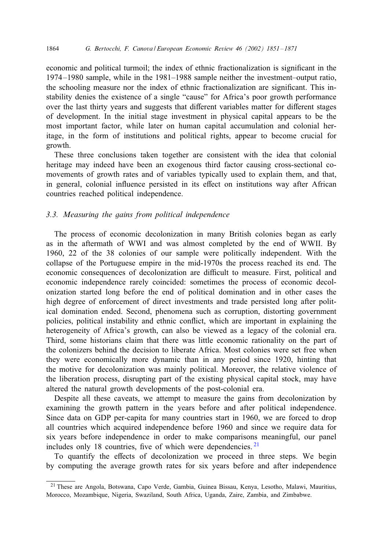#### 1864 *G. Bertocchi, F. Canova / European Economic Review 46 (2002) 1851 – 1871*

economic and political turmoil; the index of ethnic fractionalization is significant in the 1974 –1980 sample, while in the 1981–1988 sample neither the investment–output ratio, the schooling measure nor the index of ethnic fractionalization are significant. This instability denies the existence of a single "cause" for Africa's poor growth performance over the last thirty years and suggests that different variables matter for different stages of development. In the initial stage investment in physical capital appears to be the most important factor, while later on human capital accumulation and colonial heritage, in the form of institutions and political rights, appear to become crucial for growth.

These three conclusions taken together are consistent with the idea that colonial heritage may indeed have been an exogenous third factor causing cross-sectional comovements of growth rates and of variables typically used to explain them, and that, in general, colonial influence persisted in its effect on institutions way after African countries reached political independence.

#### *3.3. Measuring the gains from political independence*

The process of economic decolonization in many British colonies began as early as in the aftermath of WWI and was almost completed by the end of WWII. By 1960, 22 of the 38 colonies of our sample were politically independent. With the collapse of the Portuguese empire in the mid-1970s the process reached its end. The economic consequences of decolonization are difficult to measure. First, political and economic independence rarely coincided: sometimes the process of economic decolonization started long before the end of political domination and in other cases the high degree of enforcement of direct investments and trade persisted long after political domination ended. Second, phenomena such as corruption, distorting government policies, political instability and ethnic conflict, which are important in explaining the heterogeneity of Africa's growth, can also be viewed as a legacy of the colonial era. Third, some historians claim that there was little economic rationality on the part of the colonizers behind the decision to liberate Africa. Most colonies were set free when they were economically more dynamic than in any period since 1920, hinting that the motive for decolonization was mainly political. Moreover, the relative violence of the liberation process, disrupting part of the existing physical capital stock, may have altered the natural growth developments of the post-colonial era.

Despite all these caveats, we attempt to measure the gains from decolonization by examining the growth pattern in the years before and after political independence. Since data on GDP per-capita for many countries start in 1960, we are forced to drop all countries which acquired independence before 1960 and since we require data for six years before independence in order to make comparisons meaningful, our panel includes only 18 countries, five of which were dependencies.  $2<sup>1</sup>$ 

To quantify the effects of decolonization we proceed in three steps. We begin by computing the average growth rates for six years before and after independence

<sup>21</sup> These are Angola, Botswana, Capo Verde, Gambia, Guinea Bissau, Kenya, Lesotho, Malawi, Mauritius, Morocco, Mozambique, Nigeria, Swaziland, South Africa, Uganda, Zaire, Zambia, and Zimbabwe.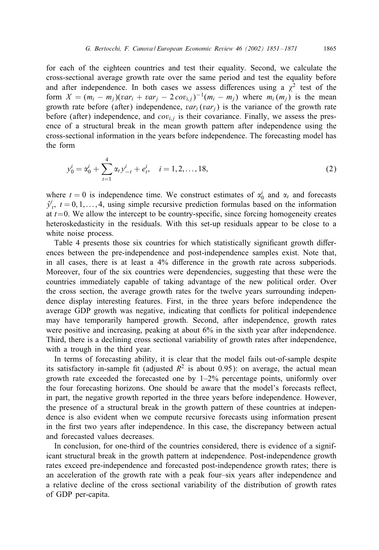for each of the eighteen countries and test their equality. Second, we calculate the cross-sectional average growth rate over the same period and test the equality before and after independence. In both cases we assess differences using a  $\chi^2$  test of the form  $X = (m_i - m_j)(var_i + var_j - 2cov_{i,j})^{-1}(m_i - m_j)$  where  $m_i(m_j)$  is the mean growth rate before (after) independence,  $var_i (var_j)$  is the variance of the growth rate before (after) independence, and  $cov_{i,j}$  is their covariance. Finally, we assess the presence of a structural break in the mean growth pattern after independence using the cross-sectional information in the years before independence. The forecasting model has the form

$$
y_0^i = \alpha_0^i + \sum_{t=1}^4 \alpha_t y_{-t}^i + e_t^i, \quad i = 1, 2, ..., 18,
$$
\n<sup>(2)</sup>

where  $t = 0$  is independence time. We construct estimates of  $\alpha_0^i$  and  $\alpha_t$  and forecasts  $\hat{y}_t^i$ ,  $t = 0, 1, \ldots, 4$ , using simple recursive prediction formulas based on the information at  $t=0$ . We allow the intercept to be country-specific, since forcing homogeneity creates heteroskedasticity in the residuals. With this set-up residuals appear to be close to a white noise process.

Table 4 presents those six countries for which statistically significant growth differences between the pre-independence and post-independence samples exist. Note that, in all cases, there is at least a 4% difference in the growth rate across subperiods. Moreover, four of the six countries were dependencies, suggesting that these were the countries immediately capable of taking advantage of the new political order. Over the cross section, the average growth rates for the twelve years surrounding independence display interesting features. First, in the three years before independence the average GDP growth was negative, indicating that conflicts for political independence may have temporarily hampered growth. Second, after independence, growth rates were positive and increasing, peaking at about 6% in the sixth year after independence. Third, there is a declining cross sectional variability of growth rates after independence, with a trough in the third year.

In terms of forecasting ability, it is clear that the model fails out-of-sample despite its satisfactory in-sample fit (adjusted  $R^2$  is about 0.95): on average, the actual mean growth rate exceeded the forecasted one by  $1-2\%$  percentage points, uniformly over the four forecasting horizons. One should be aware that the model's forecasts reflect, in part, the negative growth reported in the three years before independence. However, the presence of a structural break in the growth pattern of these countries at independence is also evident when we compute recursive forecasts using information present in the first two years after independence. In this case, the discrepancy between actual and forecasted values decreases.

In conclusion, for one-third of the countries considered, there is evidence of a significant structural break in the growth pattern at independence. Post-independence growth rates exceed pre-independence and forecasted post-independence growth rates; there is an acceleration of the growth rate with a peak four–six years after independence and a relative decline of the cross sectional variability of the distribution of growth rates of GDP per-capita.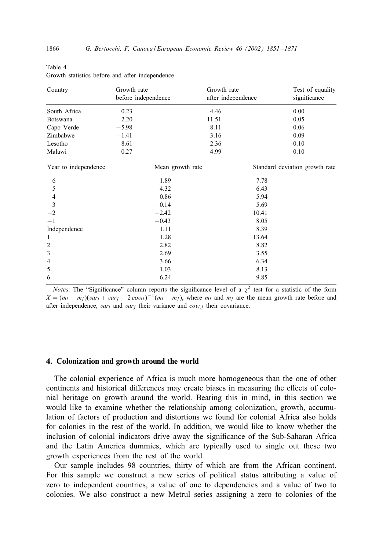| Country              | Growth rate<br>before independence | Growth rate<br>after independence | Test of equality<br>significance |
|----------------------|------------------------------------|-----------------------------------|----------------------------------|
| South Africa         | 0.23                               | 4.46                              | 0.00                             |
| Botswana             | 2.20                               | 11.51                             | 0.05                             |
| Capo Verde           | $-5.98$                            | 8.11                              | 0.06                             |
| Zimbabwe             | $-1.41$                            | 3.16                              | 0.09                             |
| Lesotho              | 8.61                               | 2.36                              | 0.10                             |
| Malawi               | $-0.27$                            | 4.99                              | 0.10                             |
| Year to independence |                                    | Mean growth rate                  | Standard deviation growth rate   |
| $-6$                 | 1.89                               |                                   | 7.78                             |
| $-5$                 | 4.32                               |                                   | 6.43                             |
| $-4$                 | 0.86                               |                                   | 5.94                             |
| $-3$                 | $-0.14$                            |                                   | 5.69                             |
| $-2$                 | $-2.42$                            |                                   | 10.41                            |
| $-1$                 | $-0.43$                            |                                   | 8.05                             |
| Independence         | 1.11                               |                                   | 8.39                             |
| 1                    | 1.28                               |                                   | 13.64                            |
| $\overline{2}$       | 2.82                               |                                   | 8.82                             |
| 3                    | 2.69                               |                                   | 3.55                             |
| $\overline{4}$       | 3.66                               |                                   | 6.34                             |
| 5                    | 1.03                               |                                   | 8.13                             |
| 6                    | 6.24                               |                                   | 9.85                             |

| 14VIV I                                         |  |  |
|-------------------------------------------------|--|--|
| Growth statistics before and after independence |  |  |

*Notes*: The "Significance" column reports the significance level of a  $\chi^2$  test for a statistic of the form  $X = (m_i - m_j)(var_i + var_j - 2cov_{ij})^{-1}(m_i - m_j)$ , where  $m_i$  and  $m_j$  are the mean growth rate before and after independence,  $var_i$  and  $var_j$  their variance and  $cov_{i,j}$  their covariance.

#### 4. Colonization and growth around the world

The colonial experience of Africa is much more homogeneous than the one of other continents and historical differences may create biases in measuring the effects of colonial heritage on growth around the world. Bearing this in mind, in this section we would like to examine whether the relationship among colonization, growth, accumulation of factors of production and distortions we found for colonial Africa also holds for colonies in the rest of the world. In addition, we would like to know whether the inclusion of colonial indicators drive away the significance of the Sub-Saharan Africa and the Latin America dummies, which are typically used to single out these two growth experiences from the rest of the world.

Our sample includes 98 countries, thirty of which are from the African continent. For this sample we construct a new series of political status attributing a value of zero to independent countries, a value of one to dependencies and a value of two to colonies. We also construct a new Metrul series assigning a zero to colonies of the

Table 4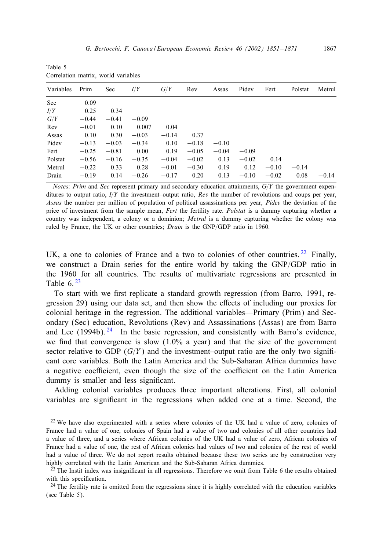Table 5 Correlation matrix, world variables

| Variables | Prim    | Sec     | I/Y     | G/Y     | Rev     | Assas   | Pidev   | Fert    | Polstat | Metrul  |
|-----------|---------|---------|---------|---------|---------|---------|---------|---------|---------|---------|
| Sec       | 0.09    |         |         |         |         |         |         |         |         |         |
| I/Y       | 0.25    | 0.34    |         |         |         |         |         |         |         |         |
| G/Y       | $-0.44$ | $-0.41$ | $-0.09$ |         |         |         |         |         |         |         |
| Rev       | $-0.01$ | 0.10    | 0.007   | 0.04    |         |         |         |         |         |         |
| Assas     | 0.10    | 0.30    | $-0.03$ | $-0.14$ | 0.37    |         |         |         |         |         |
| Pidev     | $-0.13$ | $-0.03$ | $-0.34$ | 0.10    | $-0.18$ | $-0.10$ |         |         |         |         |
| Fert      | $-0.25$ | $-0.81$ | 0.00    | 0.19    | $-0.05$ | $-0.04$ | $-0.09$ |         |         |         |
| Polstat   | $-0.56$ | $-0.16$ | $-0.35$ | $-0.04$ | $-0.02$ | 0.13    | $-0.02$ | 0.14    |         |         |
| Metrul    | $-0.22$ | 0.33    | 0.28    | $-0.01$ | $-0.30$ | 0.19    | 0.12    | $-0.10$ | $-0.14$ |         |
| Drain     | $-0.19$ | 0.14    | $-0.26$ | $-0.17$ | 0.20    | 0.13    | $-0.10$ | $-0.02$ | 0.08    | $-0.14$ |

*Notes*: *Prim* and *Sec* represent primary and secondary education attainments,  $G/Y$  the government expenditures to output ratio,  $I/Y$  the investment–output ratio, *Rev* the number of revolutions and coups per year, *Assas* the number per million of population of political assassinations per year, *Pidev* the deviation of the price of investment from the sample mean, *Fert* the fertility rate. *Polstat* is a dummy capturing whether a country was independent, a colony or a dominion; *Metrul* is a dummy capturing whether the colony was ruled by France, the UK or other countries; *Drain* is the GNP/GDP ratio in 1960.

UK, a one to colonies of France and a two to colonies of other countries.  $22$  Finally, we construct a Drain series for the entire world by taking the  $GNP/GDP$  ratio in the 1960 for all countries. The results of multivariate regressions are presented in Table  $6.23$ 

To start with we first replicate a standard growth regression (from Barro, 1991, regression 29) using our data set, and then show the eEects of including our proxies for colonial heritage in the regression. The additional variables—Primary (Prim) and Secondary (Sec) education, Revolutions (Rev) and Assassinations (Assas) are from Barro and Lee  $(1994b)$ . <sup>24</sup> In the basic regression, and consistently with Barro's evidence, we find that convergence is slow  $(1.0\%$  a year) and that the size of the government sector relative to GDP  $(G/Y)$  and the investment–output ratio are the only two significant core variables. Both the Latin America and the Sub-Saharan Africa dummies have a negative coefficient, even though the size of the coefficient on the Latin America dummy is smaller and less significant.

Adding colonial variables produces three important alterations. First, all colonial variables are significant in the regressions when added one at a time. Second, the

<sup>&</sup>lt;sup>22</sup> We have also experimented with a series where colonies of the UK had a value of zero, colonies of France had a value of one, colonies of Spain had a value of two and colonies of all other countries had a value of three, and a series where African colonies of the UK had a value of zero, African colonies of France had a value of one, the rest of African colonies had values of two and colonies of the rest of world had a value of three. We do not report results obtained because these two series are by construction very highly correlated with the Latin American and the Sub-Saharan Africa dummies.

<sup>&</sup>lt;sup>23</sup> The Instit index was insignificant in all regressions. Therefore we omit from Table 6 the results obtained with this specification.

<sup>&</sup>lt;sup>24</sup> The fertility rate is omitted from the regressions since it is highly correlated with the education variables (see Table 5).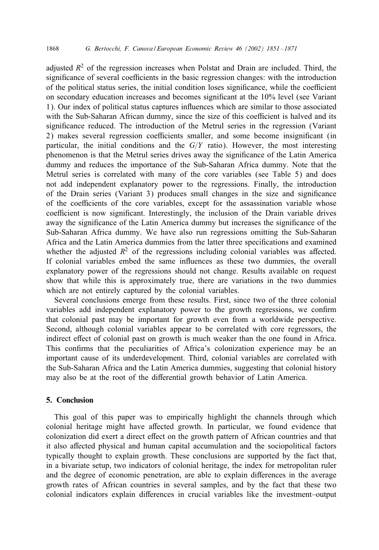adjusted  $R<sup>2</sup>$  of the regression increases when Polstat and Drain are included. Third, the significance of several coefficients in the basic regression changes: with the introduction of the political status series, the initial condition loses significance, while the coefficient on secondary education increases and becomes significant at the  $10\%$  level (see Variant 1). Our index of political status captures influences which are similar to those associated with the Sub-Saharan African dummy, since the size of this coefficient is halved and its significance reduced. The introduction of the Metrul series in the regression (Variant 2) makes several regression coefficients smaller, and some become insignificant (in particular, the initial conditions and the  $G/Y$  ratio). However, the most interesting phenomenon is that the Metrul series drives away the significance of the Latin America dummy and reduces the importance of the Sub-Saharan Africa dummy. Note that the Metrul series is correlated with many of the core variables (see Table 5) and does not add independent explanatory power to the regressions. Finally, the introduction of the Drain series (Variant 3) produces small changes in the size and significance of the coefficients of the core variables, except for the assassination variable whose coefficient is now significant. Interestingly, the inclusion of the Drain variable drives away the significance of the Latin America dummy but increases the significance of the Sub-Saharan Africa dummy. We have also run regressions omitting the Sub-Saharan Africa and the Latin America dummies from the latter three specifications and examined whether the adjusted  $R^2$  of the regressions including colonial variables was affected. If colonial variables embed the same influences as these two dummies, the overall explanatory power of the regressions should not change. Results available on request show that while this is approximately true, there are variations in the two dummies which are not entirely captured by the colonial variables.

Several conclusions emerge from these results. First, since two of the three colonial variables add independent explanatory power to the growth regressions, we confirm that colonial past may be important for growth even from a worldwide perspective. Second, although colonial variables appear to be correlated with core regressors, the indirect effect of colonial past on growth is much weaker than the one found in Africa. This confirms that the peculiarities of Africa's colonization experience may be an important cause of its underdevelopment. Third, colonial variables are correlated with the Sub-Saharan Africa and the Latin America dummies, suggesting that colonial history may also be at the root of the differential growth behavior of Latin America.

# 5. Conclusion

This goal of this paper was to empirically highlight the channels through which colonial heritage might have affected growth. In particular, we found evidence that colonization did exert a direct effect on the growth pattern of African countries and that it also affected physical and human capital accumulation and the sociopolitical factors typically thought to explain growth. These conclusions are supported by the fact that, in a bivariate setup, two indicators of colonial heritage, the index for metropolitan ruler and the degree of economic penetration, are able to explain differences in the average growth rates of African countries in several samples, and by the fact that these two colonial indicators explain diEerences in crucial variables like the investment–output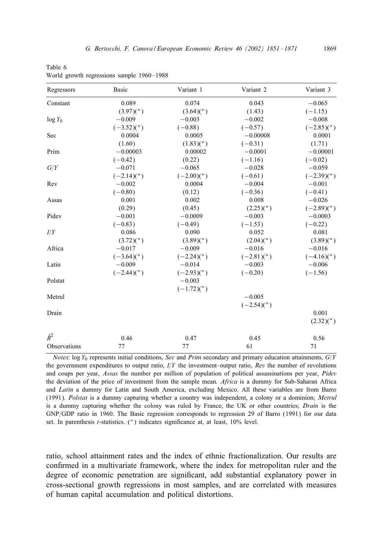| Regressors   | Basic                    | Variant 1    | Variant 2    | Variant 3    |
|--------------|--------------------------|--------------|--------------|--------------|
| Constant     | 0.089                    | 0.074        | 0.043        | $-0.065$     |
|              | $(3.97)(*)$              | $(3.64)(*)$  | (1.43)       | $(-1.15)$    |
| $log Y_0$    | $-0.009$                 | $-0.003$     | $-0.002$     | $-0.008$     |
|              | $(-3.52)^{*}$            | $(-0.88)$    | $(-0.57)$    | $(-2.85)(*)$ |
| Sec          | 0.0004                   | 0.0005       | $-0.00008$   | 0.0001       |
|              | (1.60)                   | $(1.83)(*)$  | $(-0.31)$    | (1.71)       |
| Prim         | $-0.00003$               | 0.00002      | $-0.0001$    | $-0.00001$   |
|              | $(-0.42)$                | (0.22)       | $(-1.16)$    | $(-0.02)$    |
| G/Y          | $-0.071$                 | $-0.065$     | $-0.028$     | $-0.059$     |
|              | $(-2.14)(*)$             | $(-2.00)(*)$ | $(-0.61)$    | $(-2.39)(*)$ |
| Rev          | $-0.002$                 | 0.0004       | $-0.004$     | $-0.001$     |
|              | $(-0.80)$                | (0.12)       | $(-0.36)$    | $(-0.41)$    |
| Assas        | 0.001                    | 0.002        | 0.008        | $-0.026$     |
|              | (0.29)                   | (0.45)       | $(2.25)(*)$  | $(-2.89)(*)$ |
| Pidev        | $-0.001$                 | $-0.0009$    | $-0.003$     | $-0.0003$    |
|              | $(-0.83)$                | $(-0.49)$    | $(-1.53)$    | $(-0.22)$    |
| I/Y          | 0.086                    | 0.090        | 0.052        | 0.081        |
|              | $(3.72)(*)$              | $(3.89)(*)$  | $(2.04)(*)$  | $(3.89)(*)$  |
| Africa       | $-0.017$                 | $-0.009$     | $-0.016$     | $-0.016$     |
|              | $(-3.64)$ <sup>*</sup> ) | $(-2.24)(*)$ | $(-2.81)(*)$ | $(-4.16)(*)$ |
| Latin        | $-0.009$                 | $-0.014$     | $-0.003$     | $-0.006$     |
|              | $(-2.44)(*)$             | $(-2.93)(*)$ | $(-0.20)$    | $(-1.56)$    |
| Polstat      |                          | $-0.003$     |              |              |
|              |                          | $(-1.72)(*)$ |              |              |
| Metrul       |                          |              | $-0.005$     |              |
|              |                          |              | $(-2.54)(*)$ |              |
| Drain        |                          |              |              | 0.001        |
|              |                          |              |              | $(2.32)(*)$  |
| $\bar{R}^2$  | 0.46                     | 0.47         | 0.45         | 0.56         |
| Observations | 77                       | 77           | 61           | 71           |

Table 6 World growth regressions sample 1960-1988

*Notes*: log Y<sub>0</sub> represents initial conditions, *Sec* and *Prim* secondary and primary education attainments,  $G/Y$ the government expenditures to output ratio,  $I/Y$  the investment–output ratio,  $Rev$  the number of revolutions and coups per year, *Assas* the number per million of population of political assassinations per year, *Pidev* the deviation of the price of investment from the sample mean. *Africa* is a dummy for Sub-Saharan Africa and *Latin* a dummy for Latin and South America, excluding Mexico. All these variables are from Barro (1991). *Polstat* is a dummy capturing whether a country was independent, a colony or a dominion; *Metrul* is a dummy capturing whether the colony was ruled by France, the UK or other countries; *Drain* is the GNP/GDP ratio in 1960. The Basic regression corresponds to regression 29 of Barro (1991) for our data set. In parenthesis t-statistics. (\*) indicates significance at, at least, 10% level.

ratio, school attainment rates and the index of ethnic fractionalization. Our results are confirmed in a multivariate framework, where the index for metropolitan ruler and the degree of economic penetration are significant, add substantial explanatory power in cross-sectional growth regressions in most samples, and are correlated with measures of human capital accumulation and political distortions.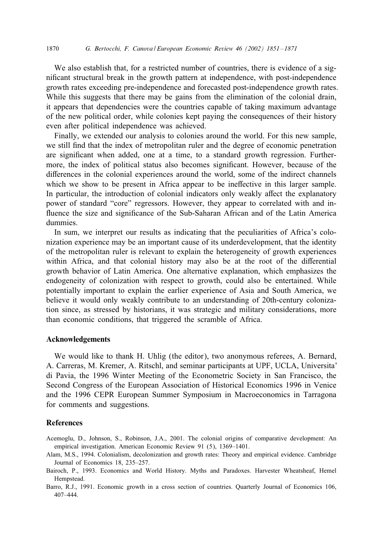We also establish that, for a restricted number of countries, there is evidence of a significant structural break in the growth pattern at independence, with post-independence growth rates exceeding pre-independence and forecasted post-independence growth rates. While this suggests that there may be gains from the elimination of the colonial drain, it appears that dependencies were the countries capable of taking maximum advantage of the new political order, while colonies kept paying the consequences of their history even after political independence was achieved.

Finally, we extended our analysis to colonies around the world. For this new sample, we still find that the index of metropolitan ruler and the degree of economic penetration are significant when added, one at a time, to a standard growth regression. Furthermore, the index of political status also becomes significant. However, because of the differences in the colonial experiences around the world, some of the indirect channels which we show to be present in Africa appear to be ineffective in this larger sample. In particular, the introduction of colonial indicators only weakly affect the explanatory power of standard "core" regressors. However, they appear to correlated with and influence the size and significance of the Sub-Saharan African and of the Latin America dummies.

In sum, we interpret our results as indicating that the peculiarities of Africa's colonization experience may be an important cause of its underdevelopment, that the identity of the metropolitan ruler is relevant to explain the heterogeneity of growth experiences within Africa, and that colonial history may also be at the root of the differential growth behavior of Latin America. One alternative explanation, which emphasizes the endogeneity of colonization with respect to growth, could also be entertained. While potentially important to explain the earlier experience of Asia and South America, we believe it would only weakly contribute to an understanding of 20th-century colonization since, as stressed by historians, it was strategic and military considerations, more than economic conditions, that triggered the scramble of Africa.

## Acknowledgements

We would like to thank H. Uhlig (the editor), two anonymous referees, A. Bernard, A. Carreras, M. Kremer, A. Ritschl, and seminar participants at UPF, UCLA, Universita' di Pavia, the 1996 Winter Meeting of the Econometric Society in San Francisco, the Second Congress of the European Association of Historical Economics 1996 in Venice and the 1996 CEPR European Summer Symposium in Macroeconomics in Tarragona for comments and suggestions.

# References

Acemoglu, D., Johnson, S., Robinson, J.A., 2001. The colonial origins of comparative development: An empirical investigation. American Economic Review 91 (5), 1369–1401.

- Alam, M.S., 1994. Colonialism, decolonization and growth rates: Theory and empirical evidence. Cambridge Journal of Economics 18, 235–257.
- Bairoch, P., 1993. Economics and World History. Myths and Paradoxes. Harvester Wheatsheaf, Hemel **Hempstead**

Barro, R.J., 1991. Economic growth in a cross section of countries. Quarterly Journal of Economics 106, 407–444.